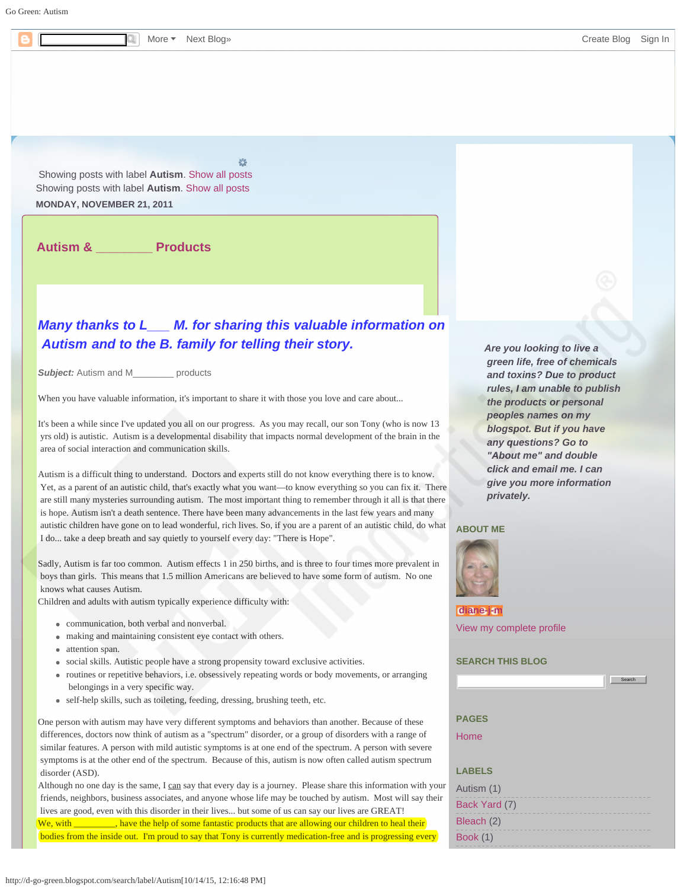<span id="page-0-0"></span>Go Green: Autism

Showing posts with label **Autism**. [Show all posts](http://d-go-green.blogspot.com/) Showing posts with label **Autism**. [Show all posts](http://d-go-green.blogspot.com/)

**MONDAY, NOVEMBER 21, 2011**

**[Autism & \\_\\_\\_\\_\\_\\_\\_\\_ Products](http://d-go-green.blogspot.com/2011/11/autism-products.html)**

# *Many thanks to L\_\_\_ M. for sharing this valuable information on Autism and to the B. family for telling their story.*

**Subject:** Autism and M **products** 

When you have valuable information, it's important to share it with those you love and care about...

It's been a while since I've updated you all on our progress. As you may recall, our son Tony (who is now 13 yrs old) is autistic. Autism is a developmental disability that impacts normal development of the brain in the area of social interaction and communication skills.

Autism is a difficult thing to understand. Doctors and experts still do not know everything there is to know. Yet, as a parent of an autistic child, that's exactly what you want—to know everything so you can fix it. There are still many mysteries surrounding autism. The most important thing to remember through it all is that there is hope. Autism isn't a death sentence. There have been many advancements in the last few years and many autistic children have gone on to lead wonderful, rich lives. So, if you are a parent of an autistic child, do what I do... take a deep breath and say quietly to yourself every day: "There is Hope".

Sadly, Autism is far too common. Autism effects 1 in 250 births, and is three to four times more prevalent in boys than girls. This means that 1.5 million Americans are believed to have some form of autism. No one knows what causes Autism.

Children and adults with autism typically experience difficulty with:

- communication, both verbal and nonverbal.
- making and maintaining consistent eye contact with others.
- attention span.
- social skills. Autistic people have a strong propensity toward exclusive activities.
- routines or repetitive behaviors, i.e. obsessively repeating words or body movements, or arranging belongings in a very specific way.
- self-help skills, such as toileting, feeding, dressing, brushing teeth, etc.

One person with autism may have very different symptoms and behaviors than another. Because of these differences, doctors now think of autism as a "spectrum" disorder, or a group of disorders with a range of similar features. A person with mild autistic symptoms is at one end of the spectrum. A person with severe symptoms is at the other end of the spectrum. Because of this, autism is now often called autism spectrum disorder (ASD).

Although no one day is the same, I can say that every day is a journey. Please share this information with your friends, neighbors, business associates, and anyone whose life may be touched by autism. Most will say their lives are good, even with this disorder in their lives... but some of us can say our lives are GREAT!

We, with have the help of some fantastic products that are allowing our children to heal their bodies from the inside out. I'm proud to say that Tony is currently medication-free and is progressing every *Are you looking to live a green life, free of chemicals and toxins? Due to product rules, I am unable to publish the products or personal peoples names on my blogspot. But if you have any questions? Go to "About me" and double click and email me. I can give you more information privately.*

#### **ABOUT ME**



**[diane-j-m](https://www.blogger.com/profile/07485256483873776321)** [View my complete profile](https://www.blogger.com/profile/07485256483873776321)

### **SEARCH THIS BLOG**



Search